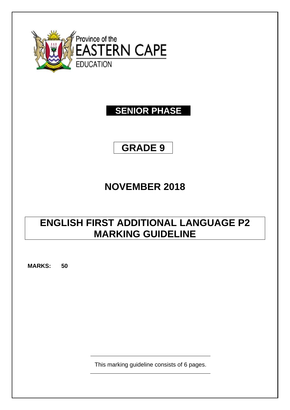

### **SENIOR PHASE**

# **GRADE 9**

# **NOVEMBER 2018**

## **ENGLISH FIRST ADDITIONAL LANGUAGE P2 MARKING GUIDELINE**

**MARKS: 50**

This marking guideline consists of 6 pages.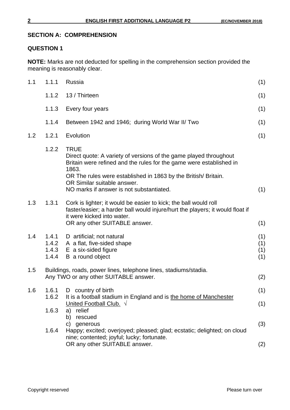#### **SECTION A: COMPREHENSION**

#### **QUESTION 1**

**NOTE:** Marks are not deducted for spelling in the comprehension section provided the meaning is reasonably clear.

| 1.1 | 1.1.1                            | Russia                                                                                                                                                                                                                                                                                                       | (1)                      |  |
|-----|----------------------------------|--------------------------------------------------------------------------------------------------------------------------------------------------------------------------------------------------------------------------------------------------------------------------------------------------------------|--------------------------|--|
|     | 1.1.2                            | 13 / Thirteen                                                                                                                                                                                                                                                                                                | (1)                      |  |
|     | 1.1.3                            | Every four years                                                                                                                                                                                                                                                                                             | (1)                      |  |
|     | 1.1.4                            | Between 1942 and 1946; during World War II/ Two                                                                                                                                                                                                                                                              | (1)                      |  |
| 1.2 | 1.2.1                            | Evolution                                                                                                                                                                                                                                                                                                    | (1)                      |  |
|     | 1.2.2                            | <b>TRUE</b><br>Direct quote: A variety of versions of the game played throughout<br>Britain were refined and the rules for the game were established in<br>1863.<br>OR The rules were established in 1863 by the British/Britain.<br>OR Similar suitable answer.<br>NO marks if answer is not substantiated. | (1)                      |  |
| 1.3 | 1.3.1                            | Cork is lighter; it would be easier to kick; the ball would roll<br>faster/easier; a harder ball would injure/hurt the players; it would float if<br>it were kicked into water.<br>OR any other SUITABLE answer.                                                                                             | (1)                      |  |
| 1.4 | 1.4.1<br>1.4.2<br>1.4.3<br>1.4.4 | D artificial; not natural<br>A a flat, five-sided shape<br>E a six-sided figure<br>B a round object                                                                                                                                                                                                          | (1)<br>(1)<br>(1)<br>(1) |  |
| 1.5 |                                  | Buildings, roads, power lines, telephone lines, stadiums/stadia.<br>(2)<br>Any TWO or any other SUITABLE answer.                                                                                                                                                                                             |                          |  |
| 1.6 | 1.6.1<br>1.6.3                   | D country of birth<br>1.6.2 It is a football stadium in England and is the home of Manchester<br>United Football Club. $\sqrt{ }$<br>relief<br>a)                                                                                                                                                            | (1)<br>(1)               |  |
|     | 1.6.4                            | b) rescued<br>generous<br>C)<br>Happy; excited; overjoyed; pleased; glad; ecstatic; delighted; on cloud<br>nine; contented; joyful; lucky; fortunate.                                                                                                                                                        | (3)                      |  |
|     |                                  | OR any other SUITABLE answer.                                                                                                                                                                                                                                                                                | (2)                      |  |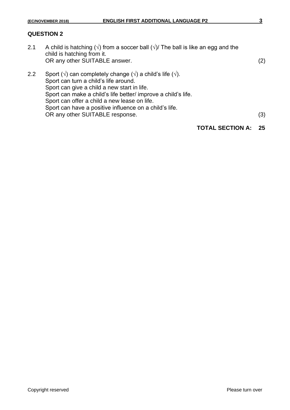#### **QUESTION 2**

- 2.1 A child is hatching ( $\sqrt{ }$ ) from a soccer ball ( $\sqrt{ }$ ) The ball is like an egg and the child is hatching from it. OR any other SUITABLE answer. (2)
- 2.2 Sport ( $\sqrt{ }$ ) can completely change ( $\sqrt{ }$ ) a child's life ( $\sqrt{ }$ ). Sport can turn a child's life around. Sport can give a child a new start in life. Sport can make a child's life better/ improve a child's life. Sport can offer a child a new lease on life. Sport can have a positive influence on a child's life. OR any other SUITABLE response. (3)
	- **TOTAL SECTION A: 25**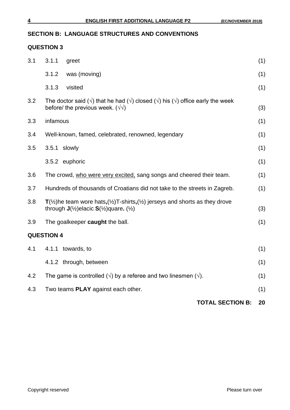#### **SECTION B: LANGUAGE STRUCTURES AND CONVENTIONS**

#### **QUESTION 3**

|     |                                                                                                                                                                                                    |                                                                                                                                                                                  | <b>TOTAL SECTION B:</b> | 20  |  |  |
|-----|----------------------------------------------------------------------------------------------------------------------------------------------------------------------------------------------------|----------------------------------------------------------------------------------------------------------------------------------------------------------------------------------|-------------------------|-----|--|--|
| 4.3 |                                                                                                                                                                                                    | Two teams PLAY against each other.                                                                                                                                               |                         | (1) |  |  |
| 4.2 |                                                                                                                                                                                                    | The game is controlled $(\sqrt{})$ by a referee and two linesmen $(\sqrt{})$ .                                                                                                   |                         | (1) |  |  |
|     |                                                                                                                                                                                                    | 4.1.2 through, between                                                                                                                                                           |                         | (1) |  |  |
| 4.1 |                                                                                                                                                                                                    | 4.1.1 towards, to                                                                                                                                                                |                         | (1) |  |  |
|     | <b>QUESTION 4</b>                                                                                                                                                                                  |                                                                                                                                                                                  |                         |     |  |  |
| 3.9 |                                                                                                                                                                                                    | The goalkeeper caught the ball.                                                                                                                                                  |                         | (1) |  |  |
| 3.8 | $T(\frac{1}{2})$ he team wore hats, $(\frac{1}{2})$ T-shirts, $(\frac{1}{2})$ jerseys and shorts as they drove<br>through $J(\frac{1}{2})$ elacic $S(\frac{1}{2})$ quare. ( $\frac{1}{2}$ )<br>(3) |                                                                                                                                                                                  |                         |     |  |  |
| 3.7 |                                                                                                                                                                                                    | Hundreds of thousands of Croatians did not take to the streets in Zagreb.                                                                                                        |                         | (1) |  |  |
| 3.6 |                                                                                                                                                                                                    | The crowd, who were very excited, sang songs and cheered their team.                                                                                                             |                         | (1) |  |  |
|     |                                                                                                                                                                                                    | 3.5.2 euphoric                                                                                                                                                                   |                         | (1) |  |  |
| 3.5 | 3.5.1 slowly                                                                                                                                                                                       |                                                                                                                                                                                  |                         | (1) |  |  |
| 3.4 | Well-known, famed, celebrated, renowned, legendary                                                                                                                                                 |                                                                                                                                                                                  |                         | (1) |  |  |
| 3.3 | infamous                                                                                                                                                                                           |                                                                                                                                                                                  |                         | (1) |  |  |
| 3.2 |                                                                                                                                                                                                    | The doctor said ( $\sqrt{ }$ ) that he had ( $\sqrt{ }$ ) closed ( $\sqrt{ }$ ) his ( $\sqrt{ }$ ) office early the week<br>before/ the previous week. $(\sqrt{\sqrt{}})$<br>(3) |                         |     |  |  |
|     | 3.1.3                                                                                                                                                                                              | visited                                                                                                                                                                          |                         | (1) |  |  |
|     | 3.1.2                                                                                                                                                                                              | was (moving)                                                                                                                                                                     |                         | (1) |  |  |
| 3.1 | 3.1.1                                                                                                                                                                                              | greet                                                                                                                                                                            |                         | (1) |  |  |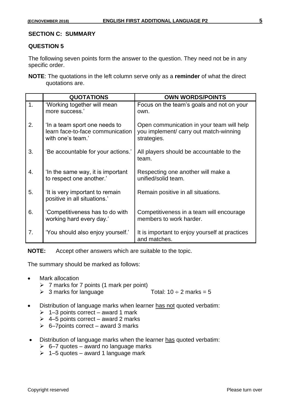#### **SECTION C: SUMMARY**

#### **QUESTION 5**

The following seven points form the answer to the question. They need not be in any specific order.

**NOTE**: The quotations in the left column serve only as a **reminder** of what the direct quotations are.

|                | <b>QUOTATIONS</b>                                                                      | <b>OWN WORDS/POINTS</b>                                                                            |
|----------------|----------------------------------------------------------------------------------------|----------------------------------------------------------------------------------------------------|
| $\mathbf{1}$ . | 'Working together will mean<br>more success.'                                          | Focus on the team's goals and not on your<br>own.                                                  |
| 2.             | 'In a team sport one needs to<br>learn face-to-face communication<br>with one's team.' | Open communication in your team will help<br>you implement/ carry out match-winning<br>strategies. |
| 3.             | 'Be accountable for your actions.'                                                     | All players should be accountable to the<br>team.                                                  |
| 4.             | In the same way, it is important<br>to respect one another.'                           | Respecting one another will make a<br>unified/solid team.                                          |
| 5.             | It is very important to remain<br>positive in all situations.'                         | Remain positive in all situations.                                                                 |
| 6.             | 'Competitiveness has to do with<br>working hard every day.'                            | Competitiveness in a team will encourage<br>members to work harder.                                |
| 7.             | 'You should also enjoy yourself.'                                                      | It is important to enjoy yourself at practices<br>and matches.                                     |

**NOTE:** Accept other answers which are suitable to the topic.

The summary should be marked as follows:

- Mark allocation
	- $\triangleright$  7 marks for 7 points (1 mark per point)
	- $\geq 3$  marks for language Total:  $10 \div 2$  marks = 5
- Distribution of language marks when learner has not quoted verbatim:
	- $\geq 1-3$  points correct award 1 mark
	- $\geq 4-5$  points correct award 2 marks
	- $\geq$  6–7 points correct award 3 marks
- Distribution of language marks when the learner has quoted verbatim:
	- $\geq$  6–7 quotes award no language marks
	- $\geq 1-5$  quotes award 1 language mark